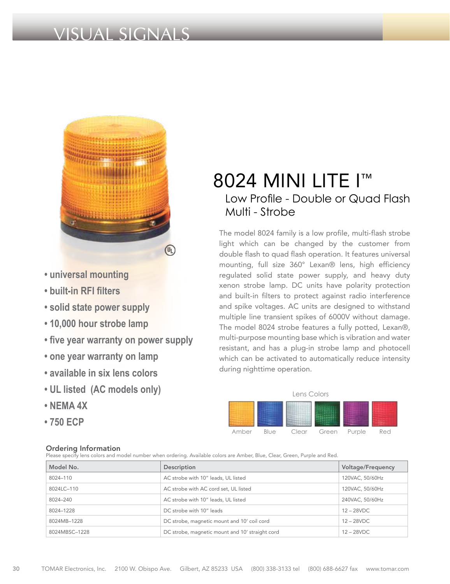# VISUAL SIGNALS



- **universal mounting**
- **built-in RFI filters**
- **solid state power supply**
- **10,000 hour strobe lamp**
- **five year warranty on power supply**
- **one year warranty on lamp**
- **available in six lens colors**
- **UL listed (AC models only)**
- **NEMA 4X**
- **750 ECP**

### Ordering Information

Please specify lens colors and model number when ordering. Available colors are Amber, Blue, Clear, Green, Purple and Red.

| Model No.     | Description                                     | <b>Voltage/Frequency</b> |
|---------------|-------------------------------------------------|--------------------------|
| 8024-110      | AC strobe with 10" leads, UL listed             | 120VAC, 50/60Hz          |
| 8024LC-110    | AC strobe with AC cord set, UL listed           | 120VAC, 50/60Hz          |
| 8024-240      | AC strobe with 10" leads, UL listed             | 240VAC, 50/60Hz          |
| 8024-1228     | DC strobe with 10" leads                        | $12 - 28$ VDC            |
| 8024MB-1228   | DC strobe, magnetic mount and 10' coil cord     | $12 - 28$ VDC            |
| 8024MBSC-1228 | DC strobe, magnetic mount and 10' straight cord | $12 - 28VDC$             |

## 8024 MINI LITE I<sup>™</sup> Low Profile - Double or Quad Flash Multi - Strobe

The model 8024 family is a low profile, multi-flash strobe light which can be changed by the customer from double flash to quad flash operation. It features universal mounting, full size 360° Lexan® lens, high efficiency regulated solid state power supply, and heavy duty xenon strobe lamp. DC units have polarity protection and built-in filters to protect against radio interference and spike voltages. AC units are designed to withstand multiple line transient spikes of 6000V without damage. The model 8024 strobe features a fully potted, Lexan®, multi-purpose mounting base which is vibration and water resistant, and has a plug-in strobe lamp and photocell which can be activated to automatically reduce intensity during nighttime operation.